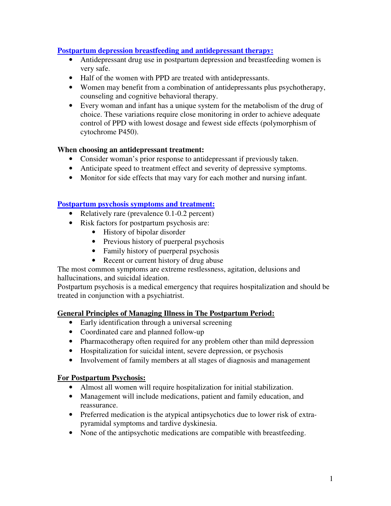## **Postpartum depression breastfeeding and antidepressant therapy:**

- Antidepressant drug use in postpartum depression and breastfeeding women is very safe.
- Half of the women with PPD are treated with antidepressants.
- Women may benefit from a combination of antidepressants plus psychotherapy, counseling and cognitive behavioral therapy.
- Every woman and infant has a unique system for the metabolism of the drug of choice. These variations require close monitoring in order to achieve adequate control of PPD with lowest dosage and fewest side effects (polymorphism of cytochrome P450).

### **When choosing an antidepressant treatment:**

- Consider woman's prior response to antidepressant if previously taken.
- Anticipate speed to treatment effect and severity of depressive symptoms.
- Monitor for side effects that may vary for each mother and nursing infant.

#### **Postpartum psychosis symptoms and treatment:**

- Relatively rare (prevalence 0.1-0.2 percent)
- Risk factors for postpartum psychosis are:
	- History of bipolar disorder
	- Previous history of puerperal psychosis
	- Family history of puerperal psychosis
	- Recent or current history of drug abuse

The most common symptoms are extreme restlessness, agitation, delusions and hallucinations, and suicidal ideation.

Postpartum psychosis is a medical emergency that requires hospitalization and should be treated in conjunction with a psychiatrist.

# **General Principles of Managing Illness in The Postpartum Period:**

- Early identification through a universal screening
- Coordinated care and planned follow-up
- Pharmacotherapy often required for any problem other than mild depression
- Hospitalization for suicidal intent, severe depression, or psychosis
- Involvement of family members at all stages of diagnosis and management

# **For Postpartum Psychosis:**

- Almost all women will require hospitalization for initial stabilization.
- Management will include medications, patient and family education, and reassurance.
- Preferred medication is the atypical antipsychotics due to lower risk of extrapyramidal symptoms and tardive dyskinesia.
- None of the antipsychotic medications are compatible with breastfeeding.